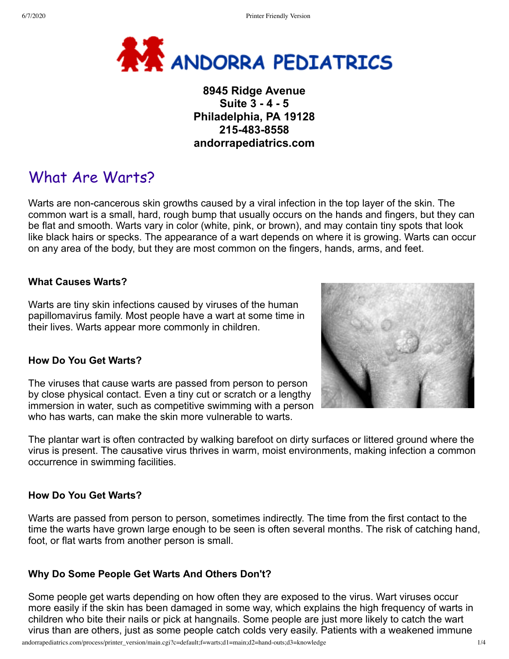

# **8945 Ridge Avenue Suite 3 - 4 - 5 Philadelphia, PA 19128 215-483-8558 andorrapediatrics.com**

# What Are Warts?

Warts are non-cancerous skin growths caused by a viral infection in the top layer of the skin. The common wart is a small, hard, rough bump that usually occurs on the hands and fingers, but they can be flat and smooth. Warts vary in color (white, pink, or brown), and may contain tiny spots that look like black hairs or specks. The appearance of a wart depends on where it is growing. Warts can occur on any area of the body, but they are most common on the fingers, hands, arms, and feet.

## **What Causes Warts?**

Warts are tiny skin infections caused by viruses of the human papillomavirus family. Most people have a wart at some time in their lives. Warts appear more commonly in children.

#### **How Do You Get Warts?**

The viruses that cause warts are passed from person to person by close physical contact. Even a tiny cut or scratch or a lengthy immersion in water, such as competitive swimming with a person who has warts, can make the skin more vulnerable to warts.

The plantar wart is often contracted by walking barefoot on dirty surfaces or littered ground where the virus is present. The causative virus thrives in warm, moist environments, making infection a common occurrence in swimming facilities.

#### **How Do You Get Warts?**

Warts are passed from person to person, sometimes indirectly. The time from the first contact to the time the warts have grown large enough to be seen is often several months. The risk of catching hand, foot, or flat warts from another person is small.

#### **Why Do Some People Get Warts And Others Don't?**

Some people get warts depending on how often they are exposed to the virus. Wart viruses occur more easily if the skin has been damaged in some way, which explains the high frequency of warts in children who bite their nails or pick at hangnails. Some people are just more likely to catch the wart virus than are others, just as some people catch colds very easily. Patients with a weakened immune



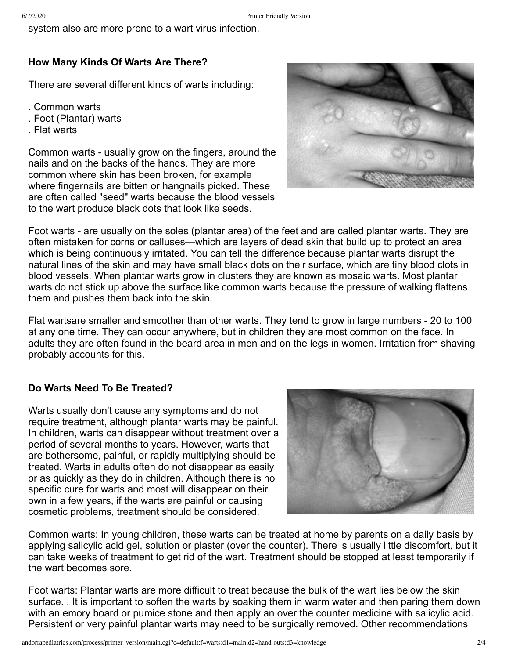system also are more prone to a wart virus infection.

# **How Many Kinds Of Warts Are There?**

There are several different kinds of warts including:

- . Common warts
- . Foot (Plantar) warts
- . Flat warts

Common warts - usually grow on the fingers, around the nails and on the backs of the hands. They are more common where skin has been broken, for example where fingernails are bitten or hangnails picked. These are often called "seed" warts because the blood vessels to the wart produce black dots that look like seeds.



Foot warts - are usually on the soles (plantar area) of the feet and are called plantar warts. They are often mistaken for corns or calluses—which are layers of dead skin that build up to protect an area which is being continuously irritated. You can tell the difference because plantar warts disrupt the natural lines of the skin and may have small black dots on their surface, which are tiny blood clots in blood vessels. When plantar warts grow in clusters they are known as mosaic warts. Most plantar warts do not stick up above the surface like common warts because the pressure of walking flattens them and pushes them back into the skin.

Flat wartsare smaller and smoother than other warts. They tend to grow in large numbers - 20 to 100 at any one time. They can occur anywhere, but in children they are most common on the face. In adults they are often found in the beard area in men and on the legs in women. Irritation from shaving probably accounts for this.

#### **Do Warts Need To Be Treated?**

Warts usually don't cause any symptoms and do not require treatment, although plantar warts may be painful. In children, warts can disappear without treatment over a period of several months to years. However, warts that are bothersome, painful, or rapidly multiplying should be treated. Warts in adults often do not disappear as easily or as quickly as they do in children. Although there is no specific cure for warts and most will disappear on their own in a few years, if the warts are painful or causing cosmetic problems, treatment should be considered.



Common warts: In young children, these warts can be treated at home by parents on a daily basis by applying salicylic acid gel, solution or plaster (over the counter). There is usually little discomfort, but it can take weeks of treatment to get rid of the wart. Treatment should be stopped at least temporarily if the wart becomes sore.

Foot warts: Plantar warts are more difficult to treat because the bulk of the wart lies below the skin surface. . It is important to soften the warts by soaking them in warm water and then paring them down with an emory board or pumice stone and then apply an over the counter medicine with salicylic acid. Persistent or very painful plantar warts may need to be surgically removed. Other recommendations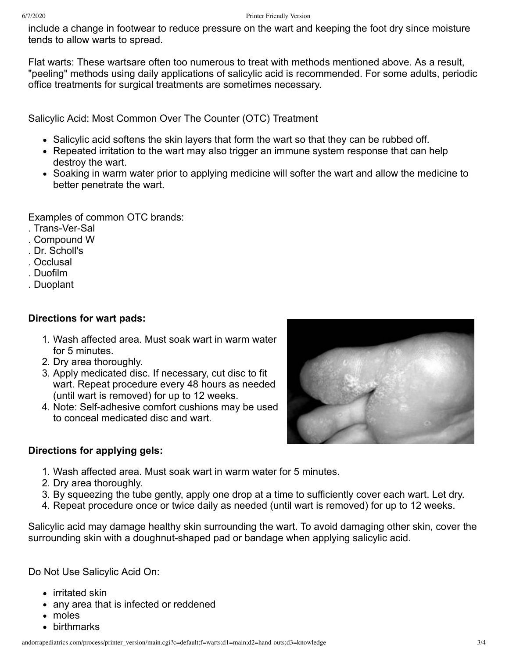include a change in footwear to reduce pressure on the wart and keeping the foot dry since moisture tends to allow warts to spread.

Flat warts: These wartsare often too numerous to treat with methods mentioned above. As a result, "peeling" methods using daily applications of salicylic acid is recommended. For some adults, periodic office treatments for surgical treatments are sometimes necessary.

Salicylic Acid: Most Common Over The Counter (OTC) Treatment

- Salicylic acid softens the skin layers that form the wart so that they can be rubbed off.
- Repeated irritation to the wart may also trigger an immune system response that can help destroy the wart.
- Soaking in warm water prior to applying medicine will softer the wart and allow the medicine to better penetrate the wart.

Examples of common OTC brands:

- . Trans-Ver-Sal
- . Compound W
- . Dr. Scholl's
- . Occlusal
- . Duofilm
- . Duoplant

## **Directions for wart pads:**

- 1. Wash affected area. Must soak wart in warm water for 5 minutes.
- 2. Dry area thoroughly.
- 3. Apply medicated disc. If necessary, cut disc to fit wart. Repeat procedure every 48 hours as needed (until wart is removed) for up to 12 weeks.
- 4. Note: Self-adhesive comfort cushions may be used to conceal medicated disc and wart.

# **Directions for applying gels:**

- 1. Wash affected area. Must soak wart in warm water for 5 minutes.
- 2. Dry area thoroughly.
- 3. By squeezing the tube gently, apply one drop at a time to sufficiently cover each wart. Let dry.
- 4. Repeat procedure once or twice daily as needed (until wart is removed) for up to 12 weeks.

Salicylic acid may damage healthy skin surrounding the wart. To avoid damaging other skin, cover the surrounding skin with a doughnut-shaped pad or bandage when applying salicylic acid.

Do Not Use Salicylic Acid On:

- irritated skin
- any area that is infected or reddened
- moles
- birthmarks